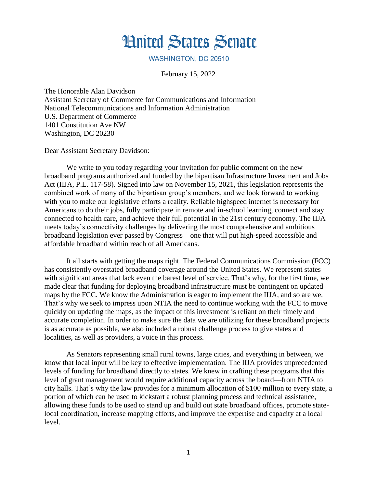

## **WASHINGTON, DC 20510**

February 15, 2022

The Honorable Alan Davidson Assistant Secretary of Commerce for Communications and Information National Telecommunications and Information Administration U.S. Department of Commerce 1401 Constitution Ave NW Washington, DC 20230

Dear Assistant Secretary Davidson:

We write to you today regarding your invitation for public comment on the new broadband programs authorized and funded by the bipartisan Infrastructure Investment and Jobs Act (IIJA, P.L. 117-58). Signed into law on November 15, 2021, this legislation represents the combined work of many of the bipartisan group's members, and we look forward to working with you to make our legislative efforts a reality. Reliable highspeed internet is necessary for Americans to do their jobs, fully participate in remote and in-school learning, connect and stay connected to health care, and achieve their full potential in the 21st century economy. The IIJA meets today's connectivity challenges by delivering the most comprehensive and ambitious broadband legislation ever passed by Congress—one that will put high-speed accessible and affordable broadband within reach of all Americans.

It all starts with getting the maps right. The Federal Communications Commission (FCC) has consistently overstated broadband coverage around the United States. We represent states with significant areas that lack even the barest level of service. That's why, for the first time, we made clear that funding for deploying broadband infrastructure must be contingent on updated maps by the FCC. We know the Administration is eager to implement the IIJA, and so are we. That's why we seek to impress upon NTIA the need to continue working with the FCC to move quickly on updating the maps, as the impact of this investment is reliant on their timely and accurate completion. In order to make sure the data we are utilizing for these broadband projects is as accurate as possible, we also included a robust challenge process to give states and localities, as well as providers, a voice in this process.

As Senators representing small rural towns, large cities, and everything in between, we know that local input will be key to effective implementation. The IIJA provides unprecedented levels of funding for broadband directly to states. We knew in crafting these programs that this level of grant management would require additional capacity across the board—from NTIA to city halls. That's why the law provides for a minimum allocation of \$100 million to every state, a portion of which can be used to kickstart a robust planning process and technical assistance, allowing these funds to be used to stand up and build out state broadband offices, promote statelocal coordination, increase mapping efforts, and improve the expertise and capacity at a local level.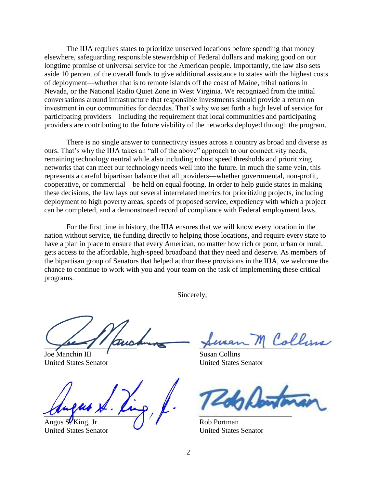The IIJA requires states to prioritize unserved locations before spending that money elsewhere, safeguarding responsible stewardship of Federal dollars and making good on our longtime promise of universal service for the American people. Importantly, the law also sets aside 10 percent of the overall funds to give additional assistance to states with the highest costs of deployment—whether that is to remote islands off the coast of Maine, tribal nations in Nevada, or the National Radio Quiet Zone in West Virginia. We recognized from the initial conversations around infrastructure that responsible investments should provide a return on investment in our communities for decades. That's why we set forth a high level of service for participating providers—including the requirement that local communities and participating providers are contributing to the future viability of the networks deployed through the program.

There is no single answer to connectivity issues across a country as broad and diverse as ours. That's why the IIJA takes an "all of the above" approach to our connectivity needs, remaining technology neutral while also including robust speed thresholds and prioritizing networks that can meet our technology needs well into the future. In much the same vein, this represents a careful bipartisan balance that all providers—whether governmental, non-profit, cooperative, or commercial—be held on equal footing. In order to help guide states in making these decisions, the law lays out several interrelated metrics for prioritizing projects, including deployment to high poverty areas, speeds of proposed service, expediency with which a project can be completed, and a demonstrated record of compliance with Federal employment laws.

For the first time in history, the IIJA ensures that we will know every location in the nation without service, tie funding directly to helping those locations, and require every state to have a plan in place to ensure that every American, no matter how rich or poor, urban or rural, gets access to the affordable, high-speed broadband that they need and deserve. As members of the bipartisan group of Senators that helped author these provisions in the IIJA, we welcome the chance to continue to work with you and your team on the task of implementing these critical programs.

Sincerely,

financial de la financial de la

Joe Manchin III Joe Manchin III Susan Collins United States Senator United States Senator

 $\sim$ Angus S<sup>t</sup> King, Jr. (Allegation of the Rob Portman

United States Senator United States Senator